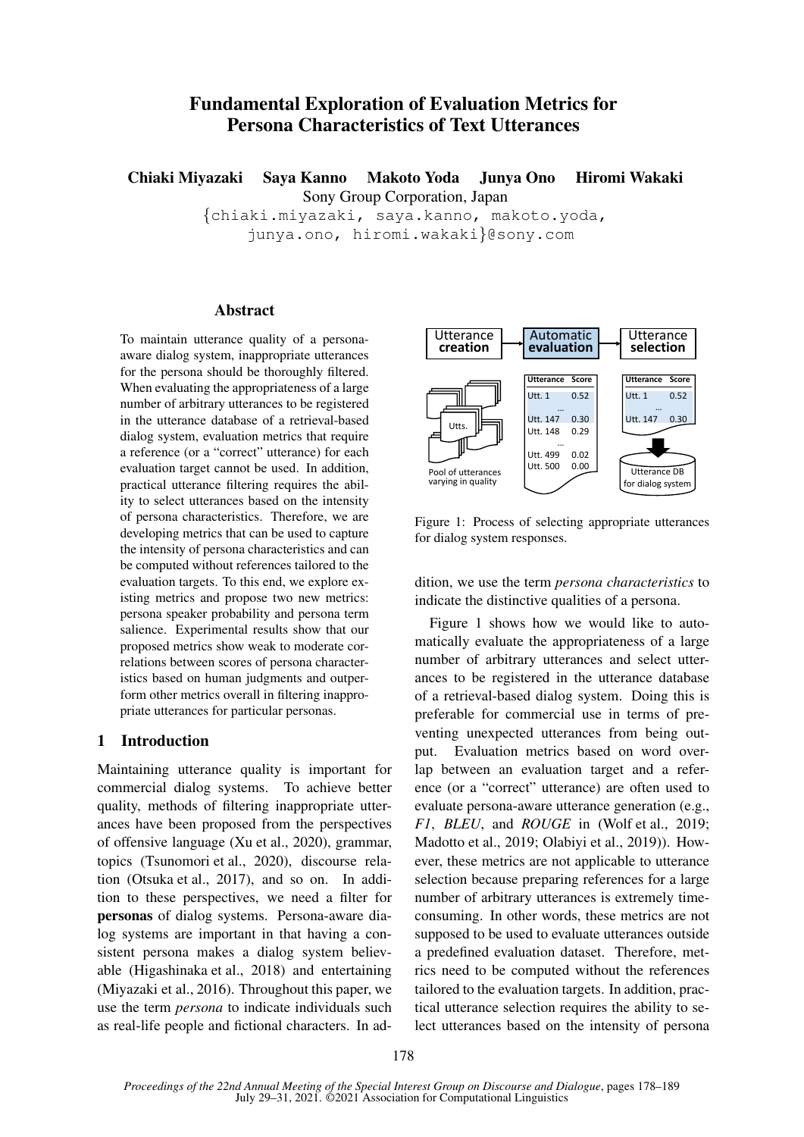# Fundamental Exploration of Evaluation Metrics for Persona Characteristics of Text Utterances

Chiaki Miyazaki Saya Kanno Makoto Yoda Junya Ono Hiromi Wakaki Sony Group Corporation, Japan

> *{*chiaki.miyazaki, saya.kanno, makoto.yoda, junya.ono, hiromi.wakaki*}*@sony.com

## Abstract

To maintain utterance quality of a personaaware dialog system, inappropriate utterances for the persona should be thoroughly filtered. When evaluating the appropriateness of a large number of arbitrary utterances to be registered in the utterance database of a retrieval-based dialog system, evaluation metrics that require a reference (or a "correct" utterance) for each evaluation target cannot be used. In addition, practical utterance filtering requires the ability to select utterances based on the intensity of persona characteristics. Therefore, we are developing metrics that can be used to capture the intensity of persona characteristics and can be computed without references tailored to the evaluation targets. To this end, we explore existing metrics and propose two new metrics: persona speaker probability and persona term salience. Experimental results show that our proposed metrics show weak to moderate correlations between scores of persona characteristics based on human judgments and outperform other metrics overall in filtering inappropriate utterances for particular personas.

## 1 Introduction

Maintaining utterance quality is important for commercial dialog systems. To achieve better quality, methods of filtering inappropriate utterances have been proposed from the perspectives of offensive language (Xu et al., 2020), grammar, topics (Tsunomori et al., 2020), discourse relation (Otsuka et al., 2017), and so on. In addition to these perspectives, we need a filter for personas of dialog systems. Persona-aware dialog systems are important in that having a consistent persona makes a dialog system believable (Higashinaka et al., 2018) and entertaining (Miyazaki et al., 2016). Throughout this paper, we use the term *persona* to indicate individuals such as real-life people and fictional characters. In ad-



Figure 1: Process of selecting appropriate utterances for dialog system responses.

dition, we use the term *persona characteristics* to indicate the distinctive qualities of a persona.

Figure 1 shows how we would like to automatically evaluate the appropriateness of a large number of arbitrary utterances and select utterances to be registered in the utterance database of a retrieval-based dialog system. Doing this is preferable for commercial use in terms of preventing unexpected utterances from being output. Evaluation metrics based on word overlap between an evaluation target and a reference (or a "correct" utterance) are often used to evaluate persona-aware utterance generation (e.g., *F1*, *BLEU*, and *ROUGE* in (Wolf et al., 2019; Madotto et al., 2019; Olabiyi et al., 2019)). However, these metrics are not applicable to utterance selection because preparing references for a large number of arbitrary utterances is extremely timeconsuming. In other words, these metrics are not supposed to be used to evaluate utterances outside a predefined evaluation dataset. Therefore, metrics need to be computed without the references tailored to the evaluation targets. In addition, practical utterance selection requires the ability to select utterances based on the intensity of persona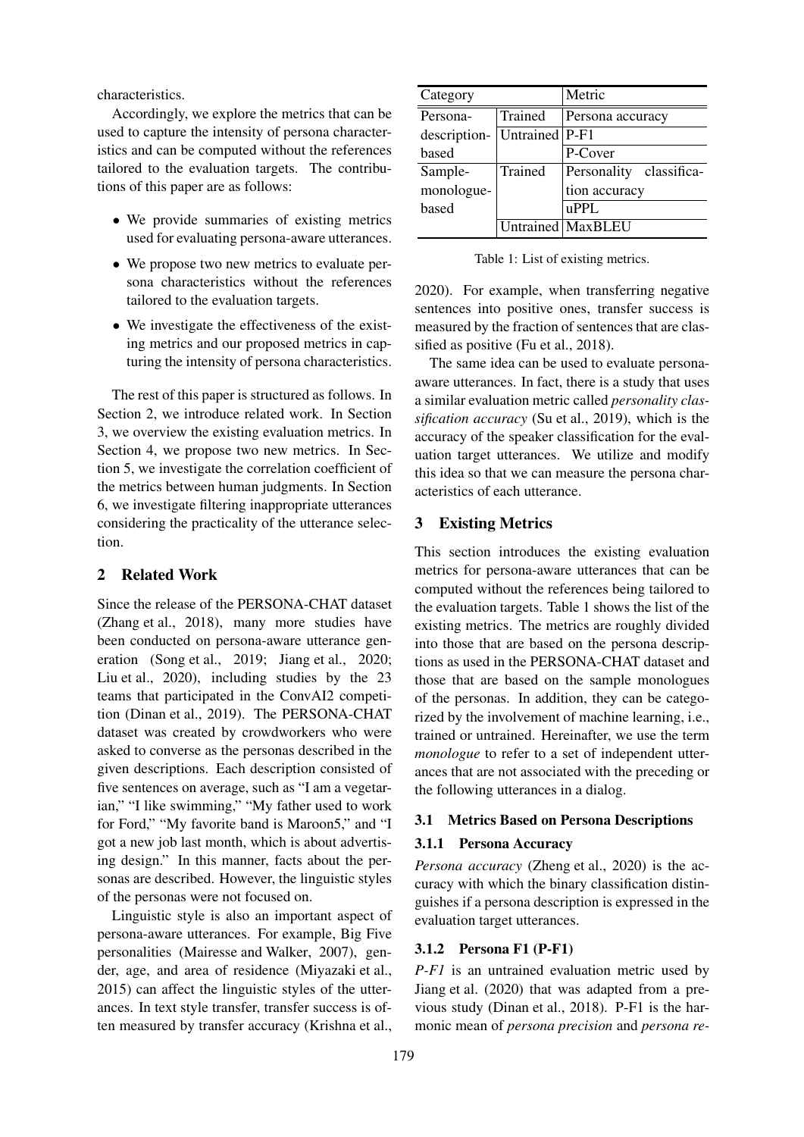characteristics.

Accordingly, we explore the metrics that can be used to capture the intensity of persona characteristics and can be computed without the references tailored to the evaluation targets. The contributions of this paper are as follows:

- We provide summaries of existing metrics used for evaluating persona-aware utterances.
- *•* We propose two new metrics to evaluate persona characteristics without the references tailored to the evaluation targets.
- We investigate the effectiveness of the existing metrics and our proposed metrics in capturing the intensity of persona characteristics.

The rest of this paper is structured as follows. In Section 2, we introduce related work. In Section 3, we overview the existing evaluation metrics. In Section 4, we propose two new metrics. In Section 5, we investigate the correlation coefficient of the metrics between human judgments. In Section 6, we investigate filtering inappropriate utterances considering the practicality of the utterance selection.

## 2 Related Work

Since the release of the PERSONA-CHAT dataset (Zhang et al., 2018), many more studies have been conducted on persona-aware utterance generation (Song et al., 2019; Jiang et al., 2020; Liu et al., 2020), including studies by the 23 teams that participated in the ConvAI2 competition (Dinan et al., 2019). The PERSONA-CHAT dataset was created by crowdworkers who were asked to converse as the personas described in the given descriptions. Each description consisted of five sentences on average, such as "I am a vegetarian," "I like swimming," "My father used to work for Ford," "My favorite band is Maroon5," and "I got a new job last month, which is about advertising design." In this manner, facts about the personas are described. However, the linguistic styles of the personas were not focused on.

Linguistic style is also an important aspect of persona-aware utterances. For example, Big Five personalities (Mairesse and Walker, 2007), gender, age, and area of residence (Miyazaki et al., 2015) can affect the linguistic styles of the utterances. In text style transfer, transfer success is often measured by transfer accuracy (Krishna et al.,

| Category     |                | Metric                  |  |  |
|--------------|----------------|-------------------------|--|--|
| Persona-     | Trained        | Persona accuracy        |  |  |
| description- | Untrained P-F1 |                         |  |  |
| based        |                | P-Cover                 |  |  |
| Sample-      | Trained        | Personality classifica- |  |  |
| monologue-   |                | tion accuracy           |  |  |
| based        |                | $\mathbf{uPPL}$         |  |  |
|              |                | Untrained MaxBLEU       |  |  |

Table 1: List of existing metrics.

2020). For example, when transferring negative sentences into positive ones, transfer success is measured by the fraction of sentences that are classified as positive (Fu et al., 2018).

The same idea can be used to evaluate personaaware utterances. In fact, there is a study that uses a similar evaluation metric called *personality classification accuracy* (Su et al., 2019), which is the accuracy of the speaker classification for the evaluation target utterances. We utilize and modify this idea so that we can measure the persona characteristics of each utterance.

## 3 Existing Metrics

This section introduces the existing evaluation metrics for persona-aware utterances that can be computed without the references being tailored to the evaluation targets. Table 1 shows the list of the existing metrics. The metrics are roughly divided into those that are based on the persona descriptions as used in the PERSONA-CHAT dataset and those that are based on the sample monologues of the personas. In addition, they can be categorized by the involvement of machine learning, i.e., trained or untrained. Hereinafter, we use the term *monologue* to refer to a set of independent utterances that are not associated with the preceding or the following utterances in a dialog.

### 3.1 Metrics Based on Persona Descriptions

### 3.1.1 Persona Accuracy

*Persona accuracy* (Zheng et al., 2020) is the accuracy with which the binary classification distinguishes if a persona description is expressed in the evaluation target utterances.

## 3.1.2 Persona F1 (P-F1)

*P-F1* is an untrained evaluation metric used by Jiang et al. (2020) that was adapted from a previous study (Dinan et al., 2018). P-F1 is the harmonic mean of *persona precision* and *persona re-*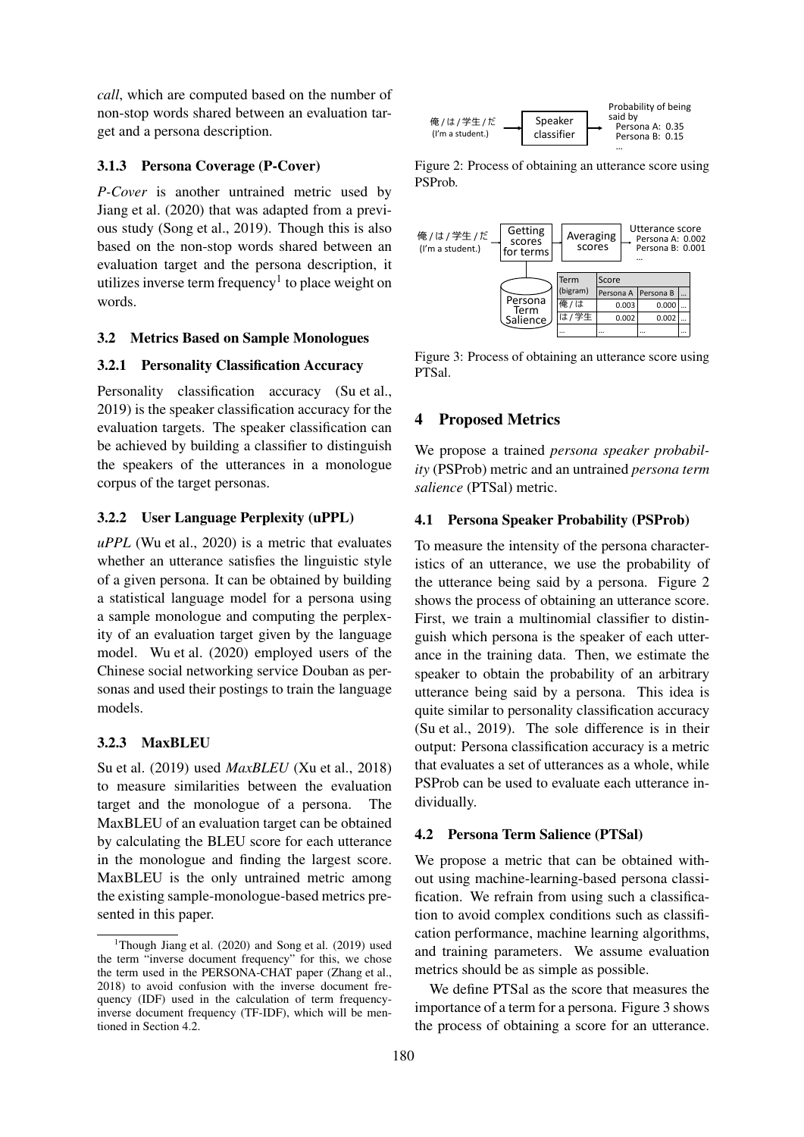*call*, which are computed based on the number of non-stop words shared between an evaluation target and a persona description.

### 3.1.3 Persona Coverage (P-Cover)

*P-Cover* is another untrained metric used by Jiang et al. (2020) that was adapted from a previous study (Song et al., 2019). Though this is also based on the non-stop words shared between an evaluation target and the persona description, it utilizes inverse term frequency $<sup>1</sup>$  to place weight on</sup> words.

### 3.2 Metrics Based on Sample Monologues

### 3.2.1 Personality Classification Accuracy

Personality classification accuracy (Su et al., 2019) is the speaker classification accuracy for the evaluation targets. The speaker classification can be achieved by building a classifier to distinguish the speakers of the utterances in a monologue corpus of the target personas.

### 3.2.2 User Language Perplexity (uPPL)

*uPPL* (Wu et al., 2020) is a metric that evaluates whether an utterance satisfies the linguistic style of a given persona. It can be obtained by building a statistical language model for a persona using a sample monologue and computing the perplexity of an evaluation target given by the language model. Wu et al. (2020) employed users of the Chinese social networking service Douban as personas and used their postings to train the language models.

#### 3.2.3 MaxBLEU

Su et al. (2019) used *MaxBLEU* (Xu et al., 2018) to measure similarities between the evaluation target and the monologue of a persona. The MaxBLEU of an evaluation target can be obtained by calculating the BLEU score for each utterance in the monologue and finding the largest score. MaxBLEU is the only untrained metric among the existing sample-monologue-based metrics presented in this paper.



Figure 2: Process of obtaining an utterance score using PSProb.



Figure 3: Process of obtaining an utterance score using PTSal.

### 4 Proposed Metrics

We propose a trained *persona speaker probability* (PSProb) metric and an untrained *persona term salience* (PTSal) metric.

### 4.1 Persona Speaker Probability (PSProb)

To measure the intensity of the persona characteristics of an utterance, we use the probability of the utterance being said by a persona. Figure 2 shows the process of obtaining an utterance score. First, we train a multinomial classifier to distinguish which persona is the speaker of each utterance in the training data. Then, we estimate the speaker to obtain the probability of an arbitrary utterance being said by a persona. This idea is quite similar to personality classification accuracy (Su et al., 2019). The sole difference is in their output: Persona classification accuracy is a metric that evaluates a set of utterances as a whole, while PSProb can be used to evaluate each utterance individually.

### 4.2 Persona Term Salience (PTSal)

We propose a metric that can be obtained without using machine-learning-based persona classification. We refrain from using such a classification to avoid complex conditions such as classification performance, machine learning algorithms, and training parameters. We assume evaluation metrics should be as simple as possible.

We define PTSal as the score that measures the importance of a term for a persona. Figure 3 shows the process of obtaining a score for an utterance.

<sup>&</sup>lt;sup>1</sup>Though Jiang et al.  $(2020)$  and Song et al.  $(2019)$  used the term "inverse document frequency" for this, we chose the term used in the PERSONA-CHAT paper (Zhang et al., 2018) to avoid confusion with the inverse document frequency (IDF) used in the calculation of term frequencyinverse document frequency (TF-IDF), which will be mentioned in Section 4.2.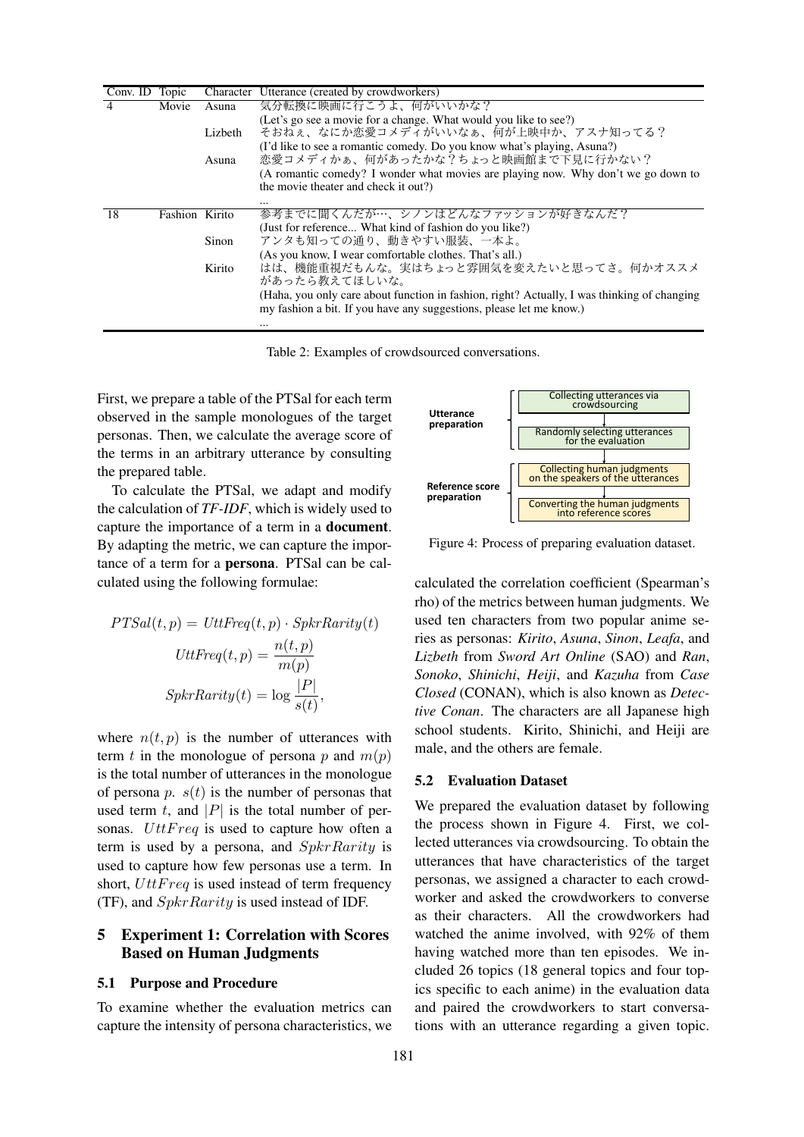| Conv. $ID$     | Topic          |         | Character Utterance (created by crowdworkers)                                                                                                                      |
|----------------|----------------|---------|--------------------------------------------------------------------------------------------------------------------------------------------------------------------|
| $\overline{4}$ | Movie          | Asuna   | 気分転換に映画に行こうよ、何がいいかな?                                                                                                                                               |
|                |                |         | (Let's go see a movie for a change. What would you like to see?)                                                                                                   |
|                |                | Lizbeth | そおねぇ、なにか恋愛コメディがいいなぁ、何が上映中か、アスナ知ってる?                                                                                                                                |
|                |                | Asuna   | (I'd like to see a romantic comedy. Do you know what's playing, Asuna?)<br>恋愛コメディかぁ、何があったかな?ちょっと映画館まで下見に行かない?                                                      |
|                |                |         | (A romantic comedy? I wonder what movies are playing now. Why don't we go down to                                                                                  |
|                |                |         | the movie theater and check it out?)                                                                                                                               |
|                |                |         |                                                                                                                                                                    |
| 18             | Fashion Kirito |         | 参考までに聞くんだが…、シノンはどんなファッションが好きなんだ?                                                                                                                                   |
|                |                |         | (Just for reference What kind of fashion do you like?)                                                                                                             |
|                |                | Sinon   | アンタも知っての通り、動きやすい服装、一本よ。                                                                                                                                            |
|                |                |         | (As you know, I wear comfortable clothes. That's all.)                                                                                                             |
|                |                | Kirito  | はは、機能重視だもんな。実はちょっと雰囲気を変えたいと思ってさ。何かオススメ<br>があったら教えてほしいな。                                                                                                            |
|                |                |         | (Haha, you only care about function in fashion, right? Actually, I was thinking of changing<br>my fashion a bit. If you have any suggestions, please let me know.) |
|                |                |         |                                                                                                                                                                    |

Table 2: Examples of crowdsourced conversations.

First, we prepare a table of the PTSal for each term observed in the sample monologues of the target personas. Then, we calculate the average score of the terms in an arbitrary utterance by consulting the prepared table.

To calculate the PTSal, we adapt and modify the calculation of *TF-IDF*, which is widely used to capture the importance of a term in a document. By adapting the metric, we can capture the importance of a term for a persona. PTSal can be calculated using the following formulae:

$$
PTSal(t, p) = UttFreq(t, p) \cdot SpkrRarity(t)
$$

$$
UttFreq(t, p) = \frac{n(t, p)}{m(p)}
$$

$$
SpkrRarity(t) = \log \frac{|P|}{s(t)},
$$

where  $n(t, p)$  is the number of utterances with term *t* in the monologue of persona *p* and  $m(p)$ is the total number of utterances in the monologue of persona  $p$ .  $s(t)$  is the number of personas that used term  $t$ , and  $|P|$  is the total number of personas. *UttFreq* is used to capture how often a term is used by a persona, and *SpkrRarity* is used to capture how few personas use a term. In short, *UttFreq* is used instead of term frequency (TF), and *SpkrRarity* is used instead of IDF.

## 5 Experiment 1: Correlation with Scores Based on Human Judgments

#### 5.1 Purpose and Procedure

To examine whether the evaluation metrics can capture the intensity of persona characteristics, we



Figure 4: Process of preparing evaluation dataset.

calculated the correlation coefficient (Spearman's rho) of the metrics between human judgments. We used ten characters from two popular anime series as personas: *Kirito*, *Asuna*, *Sinon*, *Leafa*, and *Lizbeth* from *Sword Art Online* (SAO) and *Ran*, *Sonoko*, *Shinichi*, *Heiji*, and *Kazuha* from *Case Closed* (CONAN), which is also known as *Detective Conan*. The characters are all Japanese high school students. Kirito, Shinichi, and Heiji are male, and the others are female.

#### 5.2 Evaluation Dataset

We prepared the evaluation dataset by following the process shown in Figure 4. First, we collected utterances via crowdsourcing. To obtain the utterances that have characteristics of the target personas, we assigned a character to each crowdworker and asked the crowdworkers to converse as their characters. All the crowdworkers had watched the anime involved, with 92% of them having watched more than ten episodes. We included 26 topics (18 general topics and four topics specific to each anime) in the evaluation data and paired the crowdworkers to start conversations with an utterance regarding a given topic.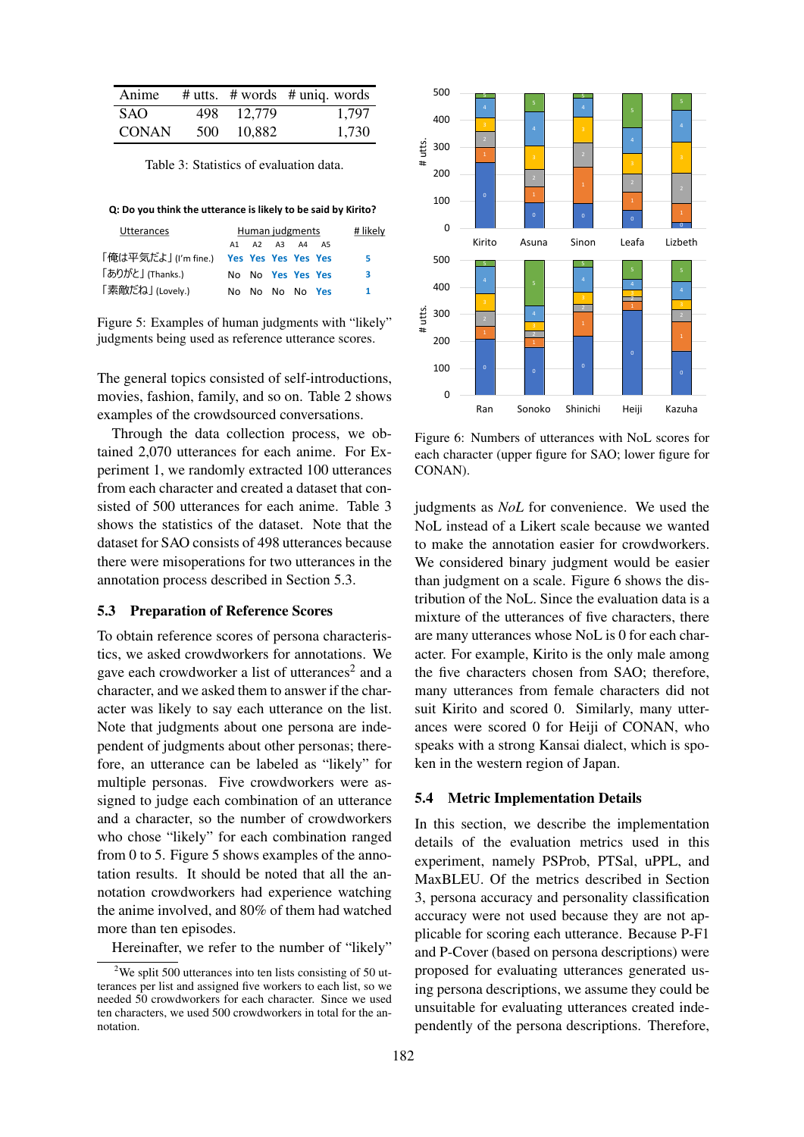| Anime        |      |        | # utts. $# words$ # uniq. words |
|--------------|------|--------|---------------------------------|
| SAO.         | 498. | 12.779 | 1.797                           |
| <b>CONAN</b> | 500  | 10.882 | 1.730                           |

Table 3: Statistics of evaluation data.

**Q: Do you think the utterance is likely to be said by Kirito?**

| <b>Utterances</b>                       | Human judgments |  |       |                   |    |   |
|-----------------------------------------|-----------------|--|-------|-------------------|----|---|
|                                         | A1              |  | A2 A3 | A4                | A5 |   |
| 「俺は平気だよ」(I'm fine.) Yes Yes Yes Yes Yes |                 |  |       |                   |    | 5 |
| 「ありがと」(Thanks.)                         |                 |  |       | No No Yes Yes Yes |    | з |
| 「素敵だね」(Lovely.)                         |                 |  |       | No No No No Yes   |    | 1 |

Figure 5: Examples of human judgments with "likely" judgments being used as reference utterance scores.

The general topics consisted of self-introductions, movies, fashion, family, and so on. Table 2 shows examples of the crowdsourced conversations.

Through the data collection process, we obtained 2,070 utterances for each anime. For Experiment 1, we randomly extracted 100 utterances from each character and created a dataset that consisted of 500 utterances for each anime. Table 3 shows the statistics of the dataset. Note that the dataset for SAO consists of 498 utterances because there were misoperations for two utterances in the annotation process described in Section 5.3.

### 5.3 Preparation of Reference Scores

To obtain reference scores of persona characteristics, we asked crowdworkers for annotations. We gave each crowdworker a list of utterances<sup>2</sup> and a character, and we asked them to answer if the character was likely to say each utterance on the list. Note that judgments about one persona are independent of judgments about other personas; therefore, an utterance can be labeled as "likely" for multiple personas. Five crowdworkers were assigned to judge each combination of an utterance and a character, so the number of crowdworkers who chose "likely" for each combination ranged from 0 to 5. Figure 5 shows examples of the annotation results. It should be noted that all the annotation crowdworkers had experience watching the anime involved, and 80% of them had watched more than ten episodes.

Hereinafter, we refer to the number of "likely"



Figure 6: Numbers of utterances with NoL scores for each character (upper figure for SAO; lower figure for CONAN).

judgments as *NoL* for convenience. We used the NoL instead of a Likert scale because we wanted to make the annotation easier for crowdworkers. We considered binary judgment would be easier than judgment on a scale. Figure 6 shows the distribution of the NoL. Since the evaluation data is a mixture of the utterances of five characters, there are many utterances whose NoL is 0 for each character. For example, Kirito is the only male among the five characters chosen from SAO; therefore, many utterances from female characters did not suit Kirito and scored 0. Similarly, many utterances were scored 0 for Heiji of CONAN, who speaks with a strong Kansai dialect, which is spoken in the western region of Japan.

#### 5.4 Metric Implementation Details

In this section, we describe the implementation details of the evaluation metrics used in this experiment, namely PSProb, PTSal, uPPL, and MaxBLEU. Of the metrics described in Section 3, persona accuracy and personality classification accuracy were not used because they are not applicable for scoring each utterance. Because P-F1 and P-Cover (based on persona descriptions) were proposed for evaluating utterances generated using persona descriptions, we assume they could be unsuitable for evaluating utterances created independently of the persona descriptions. Therefore,

<sup>&</sup>lt;sup>2</sup>We split 500 utterances into ten lists consisting of 50 utterances per list and assigned five workers to each list, so we needed 50 crowdworkers for each character. Since we used ten characters, we used 500 crowdworkers in total for the annotation.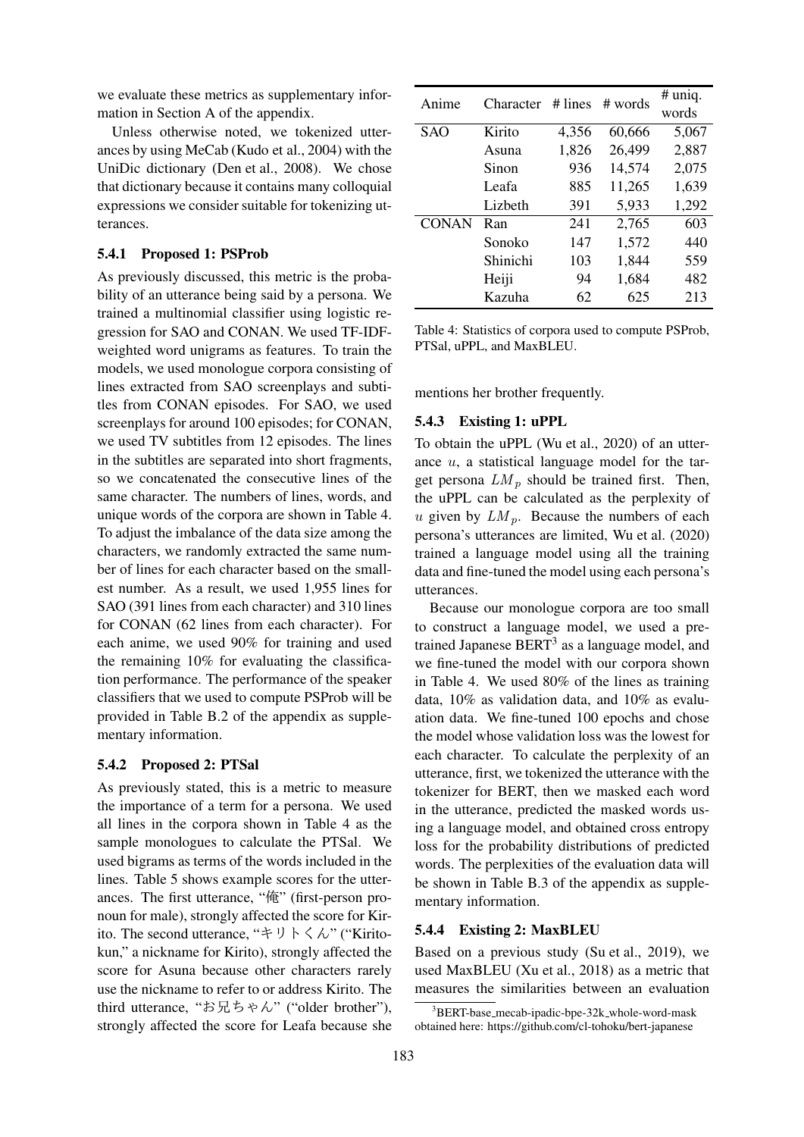we evaluate these metrics as supplementary information in Section A of the appendix.

Unless otherwise noted, we tokenized utterances by using MeCab (Kudo et al., 2004) with the UniDic dictionary (Den et al., 2008). We chose that dictionary because it contains many colloquial expressions we consider suitable for tokenizing utterances.

#### 5.4.1 Proposed 1: PSProb

As previously discussed, this metric is the probability of an utterance being said by a persona. We trained a multinomial classifier using logistic regression for SAO and CONAN. We used TF-IDFweighted word unigrams as features. To train the models, we used monologue corpora consisting of lines extracted from SAO screenplays and subtitles from CONAN episodes. For SAO, we used screenplays for around 100 episodes; for CONAN, we used TV subtitles from 12 episodes. The lines in the subtitles are separated into short fragments, so we concatenated the consecutive lines of the same character. The numbers of lines, words, and unique words of the corpora are shown in Table 4. To adjust the imbalance of the data size among the characters, we randomly extracted the same number of lines for each character based on the smallest number. As a result, we used 1,955 lines for SAO (391 lines from each character) and 310 lines for CONAN (62 lines from each character). For each anime, we used 90% for training and used the remaining 10% for evaluating the classification performance. The performance of the speaker classifiers that we used to compute PSProb will be provided in Table B.2 of the appendix as supplementary information.

#### 5.4.2 Proposed 2: PTSal

As previously stated, this is a metric to measure the importance of a term for a persona. We used all lines in the corpora shown in Table 4 as the sample monologues to calculate the PTSal. We used bigrams as terms of the words included in the lines. Table 5 shows example scores for the utterances. The first utterance, "俺" (first-person pronoun for male), strongly affected the score for Kirito. The second utterance, "キリトくん" ("Kiritokun," a nickname for Kirito), strongly affected the score for Asuna because other characters rarely use the nickname to refer to or address Kirito. The third utterance, "お兄ちゃん" ("older brother"), strongly affected the score for Leafa because she

| Anime        | Character | # lines | # words | $#$ uniq. |
|--------------|-----------|---------|---------|-----------|
|              |           |         |         | words     |
| <b>SAO</b>   | Kirito    | 4,356   | 60,666  | 5,067     |
|              | Asuna     | 1,826   | 26,499  | 2,887     |
|              | Sinon     | 936     | 14,574  | 2,075     |
|              | Leafa     | 885     | 11,265  | 1,639     |
|              | Lizbeth   | 391     | 5,933   | 1,292     |
| <b>CONAN</b> | Ran       | 241     | 2,765   | 603       |
|              | Sonoko    | 147     | 1,572   | 440       |
|              | Shinichi  | 103     | 1,844   | 559       |
|              | Heiji     | 94      | 1,684   | 482       |
|              | Kazuha    | 62      | 625     | 213       |

Table 4: Statistics of corpora used to compute PSProb, PTSal, uPPL, and MaxBLEU.

mentions her brother frequently.

#### 5.4.3 Existing 1: uPPL

To obtain the uPPL (Wu et al., 2020) of an utterance *u*, a statistical language model for the target persona  $LM_p$  should be trained first. Then, the uPPL can be calculated as the perplexity of *u* given by  $LM_p$ . Because the numbers of each persona's utterances are limited, Wu et al. (2020) trained a language model using all the training data and fine-tuned the model using each persona's utterances.

Because our monologue corpora are too small to construct a language model, we used a pretrained Japanese BERT<sup>3</sup> as a language model, and we fine-tuned the model with our corpora shown in Table 4. We used 80% of the lines as training data, 10% as validation data, and 10% as evaluation data. We fine-tuned 100 epochs and chose the model whose validation loss was the lowest for each character. To calculate the perplexity of an utterance, first, we tokenized the utterance with the tokenizer for BERT, then we masked each word in the utterance, predicted the masked words using a language model, and obtained cross entropy loss for the probability distributions of predicted words. The perplexities of the evaluation data will be shown in Table B.3 of the appendix as supplementary information.

### 5.4.4 Existing 2: MaxBLEU

Based on a previous study (Su et al., 2019), we used MaxBLEU (Xu et al., 2018) as a metric that measures the similarities between an evaluation

<sup>&</sup>lt;sup>3</sup>BERT-base\_mecab-ipadic-bpe-32k\_whole-word-mask obtained here: https://github.com/cl-tohoku/bert-japanese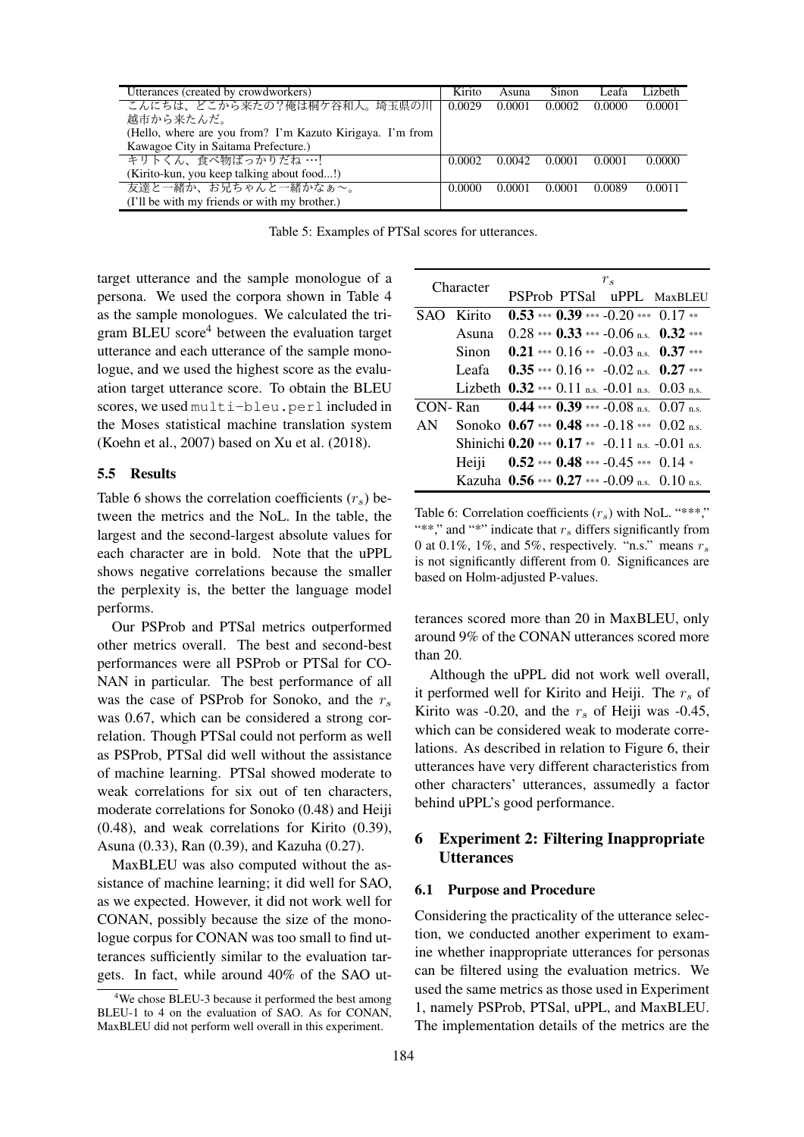| Utterances (created by crowdworkers)                      | Kirito | Asuna  | Sinon  | Leafa  | Lizheth |
|-----------------------------------------------------------|--------|--------|--------|--------|---------|
| こんにちは、どこから来たの?俺は桐ケ谷和人。埼玉県の川                               | 0.0029 | 0.0001 | 0.0002 | 0.0000 | 0.0001  |
| 越市から来たんだ。                                                 |        |        |        |        |         |
| (Hello, where are you from? I'm Kazuto Kirigaya. I'm from |        |        |        |        |         |
| Kawagoe City in Saitama Prefecture.)                      |        |        |        |        |         |
| キリトくん、食べ物ばっかりだね …!                                        | 0.0002 | 0.0042 | 0.0001 | 0.0001 | 0.0000  |
| (Kirito-kun, you keep talking about food!)                |        |        |        |        |         |
| 友達と一緒か、お兄ちゃんと一緒かなぁ~。                                      | 0.0000 | 0.0001 | 0.0001 | 0.0089 | 0.0011  |
| (I'll be with my friends or with my brother.)             |        |        |        |        |         |

Table 5: Examples of PTSal scores for utterances.

target utterance and the sample monologue of a persona. We used the corpora shown in Table 4 as the sample monologues. We calculated the trigram BLEU score $4$  between the evaluation target utterance and each utterance of the sample monologue, and we used the highest score as the evaluation target utterance score. To obtain the BLEU scores, we used multi-bleu.perl included in the Moses statistical machine translation system (Koehn et al., 2007) based on Xu et al. (2018).

#### 5.5 Results

Table 6 shows the correlation coefficients  $(r<sub>s</sub>)$  between the metrics and the NoL. In the table, the largest and the second-largest absolute values for each character are in bold. Note that the uPPL shows negative correlations because the smaller the perplexity is, the better the language model performs.

Our PSProb and PTSal metrics outperformed other metrics overall. The best and second-best performances were all PSProb or PTSal for CO-NAN in particular. The best performance of all was the case of PSProb for Sonoko, and the *r<sup>s</sup>* was 0.67, which can be considered a strong correlation. Though PTSal could not perform as well as PSProb, PTSal did well without the assistance of machine learning. PTSal showed moderate to weak correlations for six out of ten characters, moderate correlations for Sonoko (0.48) and Heiji (0.48), and weak correlations for Kirito (0.39), Asuna (0.33), Ran (0.39), and Kazuha (0.27).

MaxBLEU was also computed without the assistance of machine learning; it did well for SAO, as we expected. However, it did not work well for CONAN, possibly because the size of the monologue corpus for CONAN was too small to find utterances sufficiently similar to the evaluation targets. In fact, while around 40% of the SAO ut-

| Character |            | $r_s$                                               |  |
|-----------|------------|-----------------------------------------------------|--|
|           |            | PSProb PTSal uPPL MaxBLEU                           |  |
|           | SAO Kirito | $0.53$ *** $0.39$ *** $-0.20$ *** $0.17$ **         |  |
|           | Asuna      | $0.28$ *** $0.33$ *** -0.06 ns $0.32$ ***           |  |
|           | Sinon      | $0.21$ *** $0.16$ ** $-0.03$ ns $0.37$ ***          |  |
|           | Leafa -    | $0.35$ *** $0.16$ ** $-0.02$ n.s. $0.27$ ***        |  |
|           |            | Lizbeth $0.32$ *** 0.11 n.s. $-0.01$ n.s. 0.03 n.s. |  |
|           | CON-Ran    | 0.44 *** 0.39 *** -0.08 n.s. 0.07 n.s.              |  |
| AN        |            | Sonoko 0.67 *** 0.48 *** -0.18 *** 0.02 n.s.        |  |
|           |            | Shinichi 0.20 *** 0.17 ** -0.11 n.s. -0.01 n.s.     |  |
|           |            | Heiji $0.52$ *** $0.48$ *** $-0.45$ *** $0.14$ *    |  |
|           |            | Kazuha 0.56 *** 0.27 *** -0.09 n.s. 0.10 n.s.       |  |

Table 6: Correlation coefficients  $(r_s)$  with NoL. "\*\*\*," "\*\*," and "\*" indicate that *r<sup>s</sup>* differs significantly from 0 at 0.1%, 1%, and 5%, respectively. "n.s." means *r<sup>s</sup>* is not significantly different from 0. Significances are based on Holm-adjusted P-values.

terances scored more than 20 in MaxBLEU, only around 9% of the CONAN utterances scored more than 20.

Although the uPPL did not work well overall, it performed well for Kirito and Heiji. The *r<sup>s</sup>* of Kirito was -0.20, and the  $r<sub>s</sub>$  of Heiji was -0.45, which can be considered weak to moderate correlations. As described in relation to Figure 6, their utterances have very different characteristics from other characters' utterances, assumedly a factor behind uPPL's good performance.

## 6 Experiment 2: Filtering Inappropriate **Utterances**

#### 6.1 Purpose and Procedure

Considering the practicality of the utterance selection, we conducted another experiment to examine whether inappropriate utterances for personas can be filtered using the evaluation metrics. We used the same metrics as those used in Experiment 1, namely PSProb, PTSal, uPPL, and MaxBLEU. The implementation details of the metrics are the

<sup>&</sup>lt;sup>4</sup>We chose BLEU-3 because it performed the best among BLEU-1 to 4 on the evaluation of SAO. As for CONAN, MaxBLEU did not perform well overall in this experiment.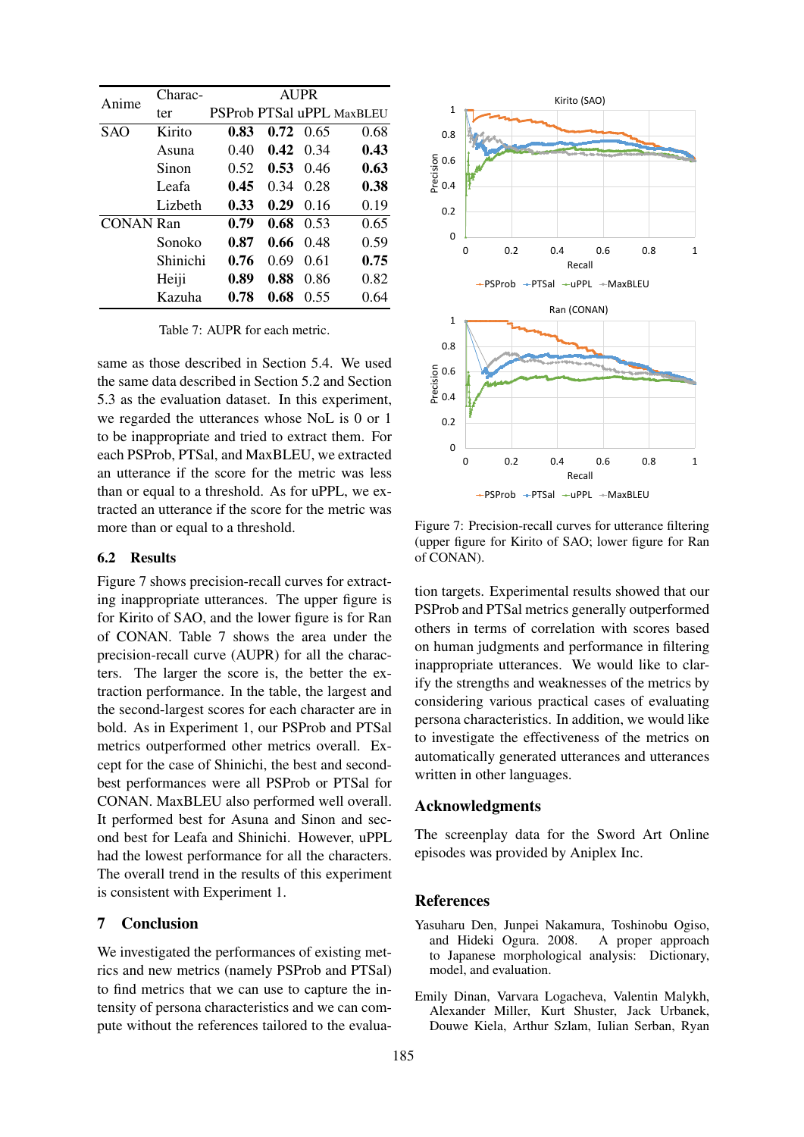| Anime            | Charac-  |      |      | <b>AUPR</b> |                           |
|------------------|----------|------|------|-------------|---------------------------|
|                  | ter      |      |      |             | PSProb PTSal uPPL MaxBLEU |
| SAO              | Kirito   | 0.83 | 0.72 | 0.65        | 0.68                      |
|                  | Asuna    | 0.40 | 0.42 | 0.34        | 0.43                      |
|                  | Sinon    | 0.52 | 0.53 | 0.46        | 0.63                      |
|                  | Leafa    | 0.45 | 0.34 | 0.28        | 0.38                      |
|                  | Lizheth  | 0.33 | 0.29 | 0.16        | 0.19                      |
| <b>CONAN Ran</b> |          | 0.79 | 0.68 | 0.53        | 0.65                      |
|                  | Sonoko   | 0.87 | 0.66 | 0.48        | 0.59                      |
|                  | Shinichi | 0.76 | 0.69 | 0.61        | 0.75                      |
|                  | Heiji    | 0.89 | 0.88 | 0.86        | 0.82                      |
|                  | Kazuha   | 0.78 | 0.68 | 0.55        | 0.64                      |

Table 7: AUPR for each metric.

same as those described in Section 5.4. We used the same data described in Section 5.2 and Section 5.3 as the evaluation dataset. In this experiment, we regarded the utterances whose NoL is 0 or 1 to be inappropriate and tried to extract them. For each PSProb, PTSal, and MaxBLEU, we extracted an utterance if the score for the metric was less than or equal to a threshold. As for uPPL, we extracted an utterance if the score for the metric was more than or equal to a threshold.

### 6.2 Results

Figure 7 shows precision-recall curves for extracting inappropriate utterances. The upper figure is for Kirito of SAO, and the lower figure is for Ran of CONAN. Table 7 shows the area under the precision-recall curve (AUPR) for all the characters. The larger the score is, the better the extraction performance. In the table, the largest and the second-largest scores for each character are in bold. As in Experiment 1, our PSProb and PTSal metrics outperformed other metrics overall. Except for the case of Shinichi, the best and secondbest performances were all PSProb or PTSal for CONAN. MaxBLEU also performed well overall. It performed best for Asuna and Sinon and second best for Leafa and Shinichi. However, uPPL had the lowest performance for all the characters. The overall trend in the results of this experiment is consistent with Experiment 1.

## 7 Conclusion

We investigated the performances of existing metrics and new metrics (namely PSProb and PTSal) to find metrics that we can use to capture the intensity of persona characteristics and we can compute without the references tailored to the evalua-



Figure 7: Precision-recall curves for utterance filtering (upper figure for Kirito of SAO; lower figure for Ran of CONAN).

tion targets. Experimental results showed that our PSProb and PTSal metrics generally outperformed others in terms of correlation with scores based on human judgments and performance in filtering inappropriate utterances. We would like to clarify the strengths and weaknesses of the metrics by considering various practical cases of evaluating persona characteristics. In addition, we would like to investigate the effectiveness of the metrics on automatically generated utterances and utterances written in other languages.

## Acknowledgments

The screenplay data for the Sword Art Online episodes was provided by Aniplex Inc.

### References

- Yasuharu Den, Junpei Nakamura, Toshinobu Ogiso, and Hideki Ogura. 2008. to Japanese morphological analysis: Dictionary, model, and evaluation.
- Emily Dinan, Varvara Logacheva, Valentin Malykh, Alexander Miller, Kurt Shuster, Jack Urbanek, Douwe Kiela, Arthur Szlam, Iulian Serban, Ryan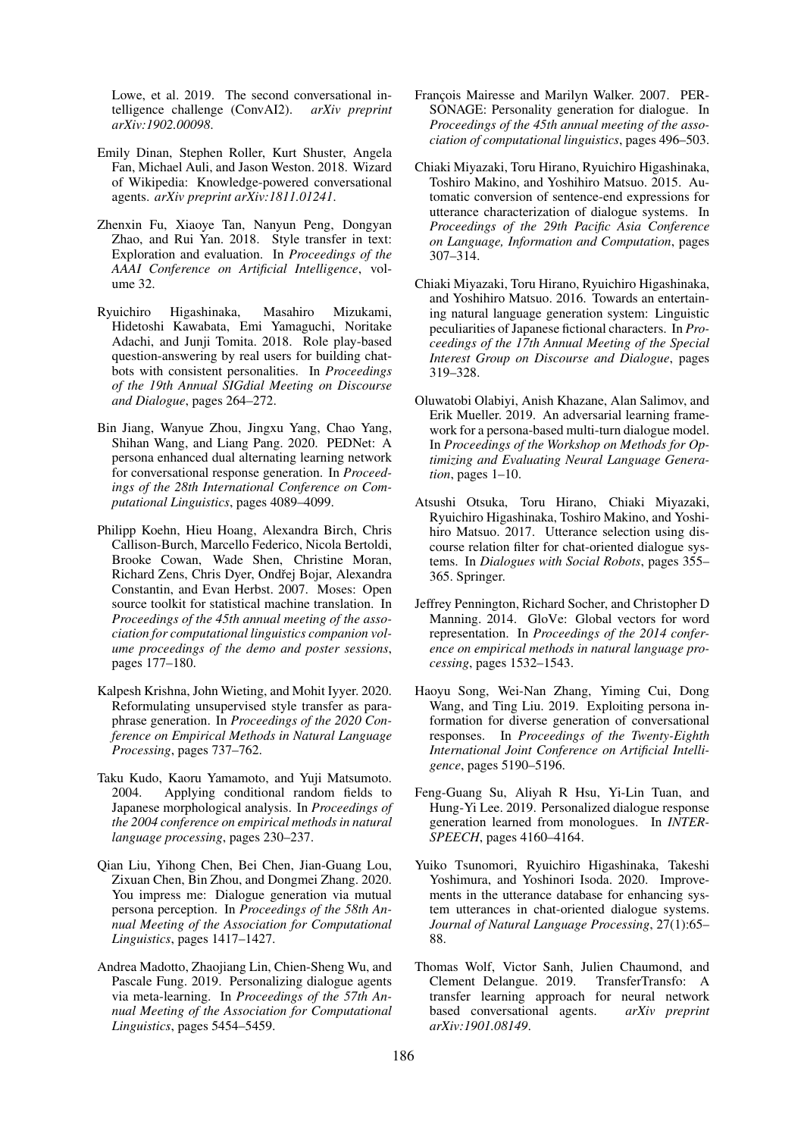Lowe, et al. 2019. The second conversational intelligence challenge (ConvAI2). *arXiv preprint arXiv:1902.00098*.

- Emily Dinan, Stephen Roller, Kurt Shuster, Angela Fan, Michael Auli, and Jason Weston. 2018. Wizard of Wikipedia: Knowledge-powered conversational agents. *arXiv preprint arXiv:1811.01241*.
- Zhenxin Fu, Xiaoye Tan, Nanyun Peng, Dongyan Zhao, and Rui Yan. 2018. Style transfer in text: Exploration and evaluation. In *Proceedings of the AAAI Conference on Artificial Intelligence*, volume 32.
- Ryuichiro Higashinaka, Masahiro Mizukami, Hidetoshi Kawabata, Emi Yamaguchi, Noritake Adachi, and Junji Tomita. 2018. Role play-based question-answering by real users for building chatbots with consistent personalities. In *Proceedings of the 19th Annual SIGdial Meeting on Discourse and Dialogue*, pages 264–272.
- Bin Jiang, Wanyue Zhou, Jingxu Yang, Chao Yang, Shihan Wang, and Liang Pang. 2020. PEDNet: A persona enhanced dual alternating learning network for conversational response generation. In *Proceedings of the 28th International Conference on Computational Linguistics*, pages 4089–4099.
- Philipp Koehn, Hieu Hoang, Alexandra Birch, Chris Callison-Burch, Marcello Federico, Nicola Bertoldi, Brooke Cowan, Wade Shen, Christine Moran, Richard Zens, Chris Dyer, Ondřej Bojar, Alexandra Constantin, and Evan Herbst. 2007. Moses: Open source toolkit for statistical machine translation. In *Proceedings of the 45th annual meeting of the association for computational linguistics companion volume proceedings of the demo and poster sessions*, pages 177–180.
- Kalpesh Krishna, John Wieting, and Mohit Iyyer. 2020. Reformulating unsupervised style transfer as paraphrase generation. In *Proceedings of the 2020 Conference on Empirical Methods in Natural Language Processing*, pages 737–762.
- Taku Kudo, Kaoru Yamamoto, and Yuji Matsumoto. Applying conditional random fields to Japanese morphological analysis. In *Proceedings of the 2004 conference on empirical methods in natural language processing*, pages 230–237.
- Qian Liu, Yihong Chen, Bei Chen, Jian-Guang Lou, Zixuan Chen, Bin Zhou, and Dongmei Zhang. 2020. You impress me: Dialogue generation via mutual persona perception. In *Proceedings of the 58th Annual Meeting of the Association for Computational Linguistics*, pages 1417–1427.
- Andrea Madotto, Zhaojiang Lin, Chien-Sheng Wu, and Pascale Fung. 2019. Personalizing dialogue agents via meta-learning. In *Proceedings of the 57th Annual Meeting of the Association for Computational Linguistics*, pages 5454–5459.
- Francois Mairesse and Marilyn Walker. 2007. PER-SONAGE: Personality generation for dialogue. In *Proceedings of the 45th annual meeting of the association of computational linguistics*, pages 496–503.
- Chiaki Miyazaki, Toru Hirano, Ryuichiro Higashinaka, Toshiro Makino, and Yoshihiro Matsuo. 2015. Automatic conversion of sentence-end expressions for utterance characterization of dialogue systems. In *Proceedings of the 29th Pacific Asia Conference on Language, Information and Computation*, pages 307–314.
- Chiaki Miyazaki, Toru Hirano, Ryuichiro Higashinaka, and Yoshihiro Matsuo. 2016. Towards an entertaining natural language generation system: Linguistic peculiarities of Japanese fictional characters. In *Proceedings of the 17th Annual Meeting of the Special Interest Group on Discourse and Dialogue*, pages 319–328.
- Oluwatobi Olabiyi, Anish Khazane, Alan Salimov, and Erik Mueller. 2019. An adversarial learning framework for a persona-based multi-turn dialogue model. In *Proceedings of the Workshop on Methods for Optimizing and Evaluating Neural Language Generation*, pages 1–10.
- Atsushi Otsuka, Toru Hirano, Chiaki Miyazaki, Ryuichiro Higashinaka, Toshiro Makino, and Yoshihiro Matsuo. 2017. Utterance selection using discourse relation filter for chat-oriented dialogue systems. In *Dialogues with Social Robots*, pages 355– 365. Springer.
- Jeffrey Pennington, Richard Socher, and Christopher D Manning. 2014. GloVe: Global vectors for word representation. In *Proceedings of the 2014 conference on empirical methods in natural language processing*, pages 1532–1543.
- Haoyu Song, Wei-Nan Zhang, Yiming Cui, Dong Wang, and Ting Liu. 2019. Exploiting persona information for diverse generation of conversational responses. In *Proceedings of the Twenty-Eighth International Joint Conference on Artificial Intelligence*, pages 5190–5196.
- Feng-Guang Su, Aliyah R Hsu, Yi-Lin Tuan, and Hung-Yi Lee. 2019. Personalized dialogue response generation learned from monologues. In *INTER-SPEECH*, pages 4160–4164.
- Yuiko Tsunomori, Ryuichiro Higashinaka, Takeshi Yoshimura, and Yoshinori Isoda. 2020. Improvements in the utterance database for enhancing system utterances in chat-oriented dialogue systems. *Journal of Natural Language Processing*, 27(1):65– 88.
- Thomas Wolf, Victor Sanh, Julien Chaumond, and Clement Delangue. 2019. TransferTransfo: A transfer learning approach for neural network based conversational agents. *arXiv preprint arXiv:1901.08149*.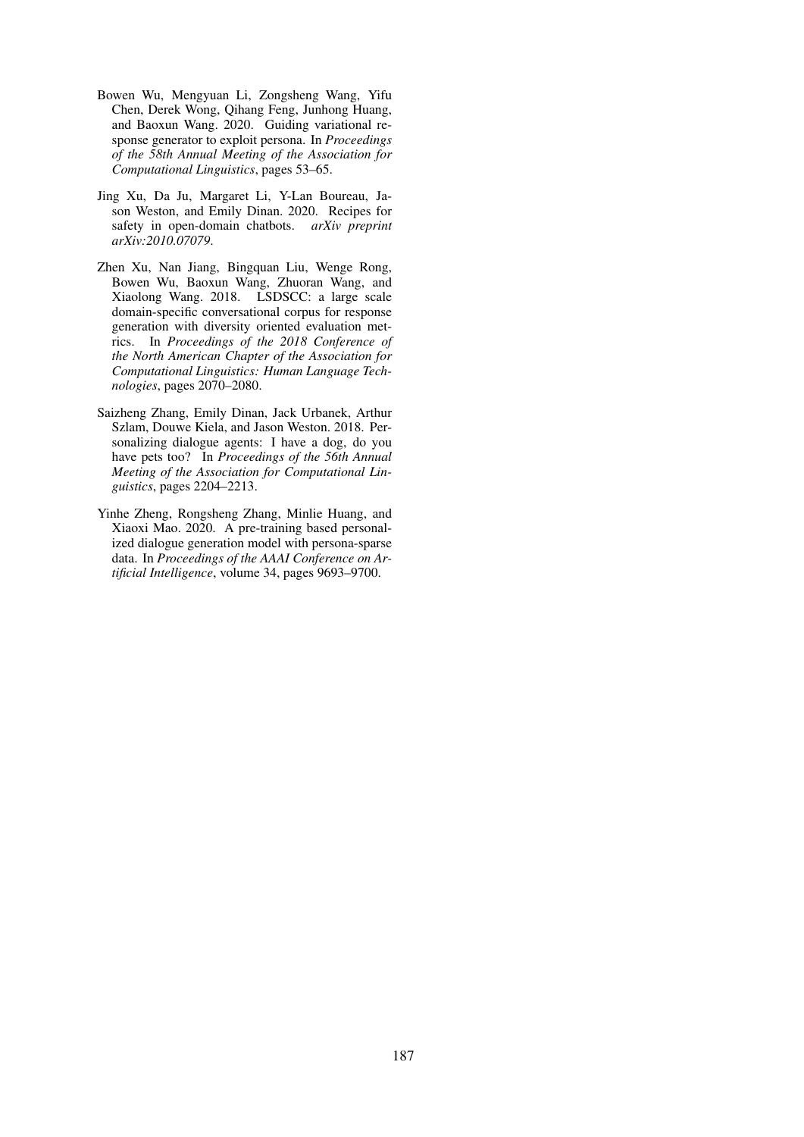- Bowen Wu, Mengyuan Li, Zongsheng Wang, Yifu Chen, Derek Wong, Qihang Feng, Junhong Huang, and Baoxun Wang. 2020. Guiding variational response generator to exploit persona. In *Proceedings of the 58th Annual Meeting of the Association for Computational Linguistics*, pages 53–65.
- Jing Xu, Da Ju, Margaret Li, Y-Lan Boureau, Jason Weston, and Emily Dinan. 2020. Recipes for safety in open-domain chatbots. *arXiv preprint arXiv:2010.07079*.
- Zhen Xu, Nan Jiang, Bingquan Liu, Wenge Rong, Bowen Wu, Baoxun Wang, Zhuoran Wang, and Xiaolong Wang. 2018. LSDSCC: a large scale domain-specific conversational corpus for response generation with diversity oriented evaluation metrics. In *Proceedings of the 2018 Conference of the North American Chapter of the Association for Computational Linguistics: Human Language Technologies*, pages 2070–2080.
- Saizheng Zhang, Emily Dinan, Jack Urbanek, Arthur Szlam, Douwe Kiela, and Jason Weston. 2018. Personalizing dialogue agents: I have a dog, do you have pets too? In *Proceedings of the 56th Annual Meeting of the Association for Computational Linguistics*, pages 2204–2213.
- Yinhe Zheng, Rongsheng Zhang, Minlie Huang, and Xiaoxi Mao. 2020. A pre-training based personalized dialogue generation model with persona-sparse data. In *Proceedings of the AAAI Conference on Artificial Intelligence*, volume 34, pages 9693–9700.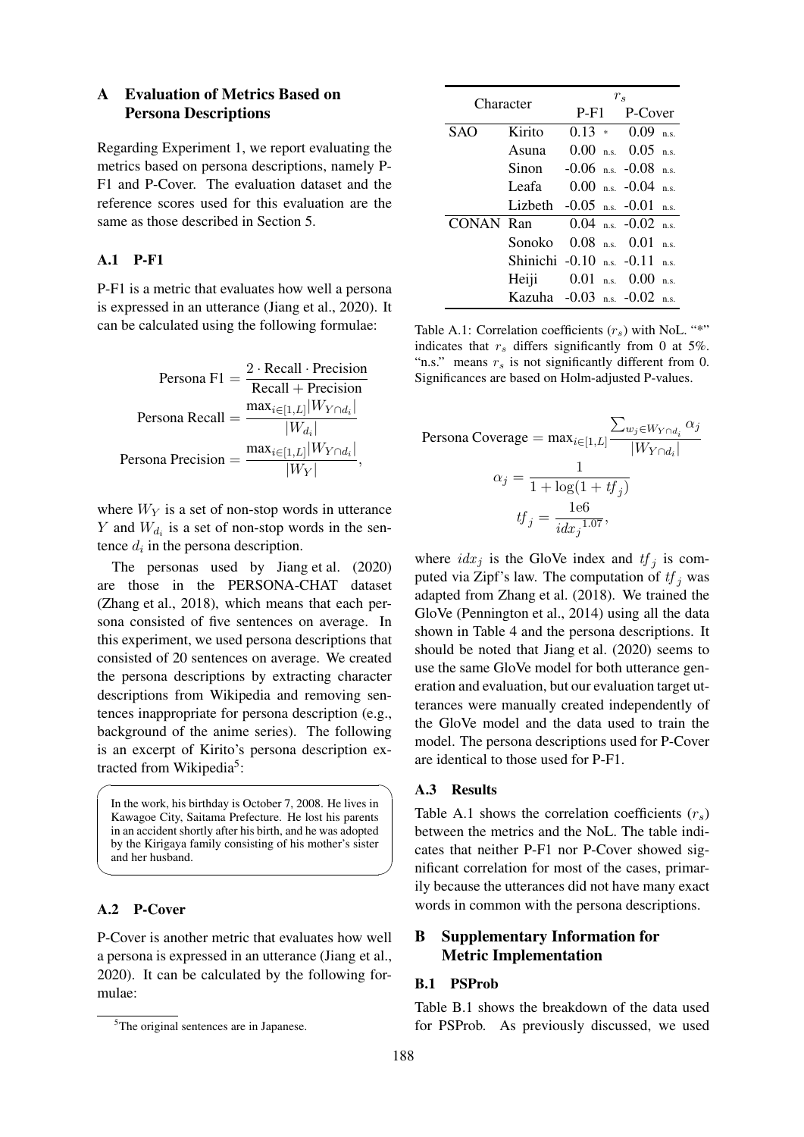## A Evaluation of Metrics Based on Persona Descriptions

Regarding Experiment 1, we report evaluating the metrics based on persona descriptions, namely P-F1 and P-Cover. The evaluation dataset and the reference scores used for this evaluation are the same as those described in Section 5.

## A.1 P-F1

P-F1 is a metric that evaluates how well a persona is expressed in an utterance (Jiang et al., 2020). It can be calculated using the following formulae:

$$
\text{Persona F1} = \frac{2 \cdot \text{Recall} \cdot \text{Precision}}{\text{Recall} + \text{Precision}}
$$
\n
$$
\text{Persona Recall} = \frac{\max_{i \in [1, L]} |W_{Y \cap d_i}|}{|W_{d_i}|}
$$
\n
$$
\text{Persona Precision} = \frac{\max_{i \in [1, L]} |W_{Y \cap d_i}|}{|W_{Y}|},
$$

where  $W_Y$  is a set of non-stop words in utterance *Y* and  $W_{d_i}$  is a set of non-stop words in the sentence  $d_i$  in the persona description.

The personas used by Jiang et al. (2020) are those in the PERSONA-CHAT dataset (Zhang et al., 2018), which means that each persona consisted of five sentences on average. In this experiment, we used persona descriptions that consisted of 20 sentences on average. We created the persona descriptions by extracting character descriptions from Wikipedia and removing sentences inappropriate for persona description (e.g., background of the anime series). The following is an excerpt of Kirito's persona description extracted from Wikipedia<sup>5</sup>:

In the work, his birthday is October 7, 2008. He lives in Kawagoe City, Saitama Prefecture. He lost his parents in an accident shortly after his birth, and he was adopted by the Kirigaya family consisting of his mother's sister and her husband.

### A.2 P-Cover

 $\overline{a}$ 

P-Cover is another metric that evaluates how well a persona is expressed in an utterance (Jiang et al., 2020). It can be calculated by the following formulae:

| Character |         | $r_s$                                     |                          |  |  |  |
|-----------|---------|-------------------------------------------|--------------------------|--|--|--|
|           |         |                                           | P-F1 P-Cover             |  |  |  |
| SAO       | Kirito  |                                           | $0.13 * 0.09$ n.s.       |  |  |  |
|           | Asuna   |                                           | $0.00$ n.s. $0.05$ n.s.  |  |  |  |
|           |         | Sinon $-0.06$ n.s. $-0.08$ n.s.           |                          |  |  |  |
|           | Leafa — |                                           | $0.00$ n.s. $-0.04$ n.s. |  |  |  |
|           |         | Lizbeth $-0.05$ n.s. $-0.01$ n.s.         |                          |  |  |  |
|           |         | <b>CONAN Ran</b> $0.04$ n.s. $-0.02$ n.s. |                          |  |  |  |
|           |         | Sonoko 0.08 n.s. 0.01 n.s.                |                          |  |  |  |
|           |         | Shinichi -0.10 n.s. -0.11 n.s.            |                          |  |  |  |
|           |         | Heiji 0.01 n.s. 0.00 n.s.                 |                          |  |  |  |
|           |         | Kazuha $-0.03$ n.s. $-0.02$ n.s.          |                          |  |  |  |

Table A.1: Correlation coefficients  $(r_s)$  with NoL. "\*" indicates that  $r_s$  differs significantly from 0 at 5%. "n.s." means  $r<sub>s</sub>$  is not significantly different from 0. Significances are based on Holm-adjusted P-values.

$$
\begin{aligned} \text{Persona Coverage} &= \max_{i \in [1, L]} \frac{\sum_{w_j \in W_{Y \cap d_i}} \alpha_j}{|W_{Y \cap d_i}|} \\ \alpha_j &= \frac{1}{1 + \log(1 + tf_j)} \\ \text{tf}_j &= \frac{166}{idx_j^{1.07}}, \end{aligned}
$$

where  $idx_j$  is the GloVe index and  $tf_j$  is computed via Zipf's law. The computation of  $tf_i$  was adapted from Zhang et al. (2018). We trained the GloVe (Pennington et al., 2014) using all the data shown in Table 4 and the persona descriptions. It should be noted that Jiang et al. (2020) seems to use the same GloVe model for both utterance generation and evaluation, but our evaluation target utterances were manually created independently of the GloVe model and the data used to train the model. The persona descriptions used for P-Cover are identical to those used for P-F1.

# ✏ A.3 Results

✒ ✑ Table A.1 shows the correlation coefficients (*rs*) between the metrics and the NoL. The table indicates that neither P-F1 nor P-Cover showed significant correlation for most of the cases, primarily because the utterances did not have many exact words in common with the persona descriptions.

# B Supplementary Information for Metric Implementation

## B.1 PSProb

Table B.1 shows the breakdown of the data used for PSProb. As previously discussed, we used

<sup>&</sup>lt;sup>5</sup>The original sentences are in Japanese.